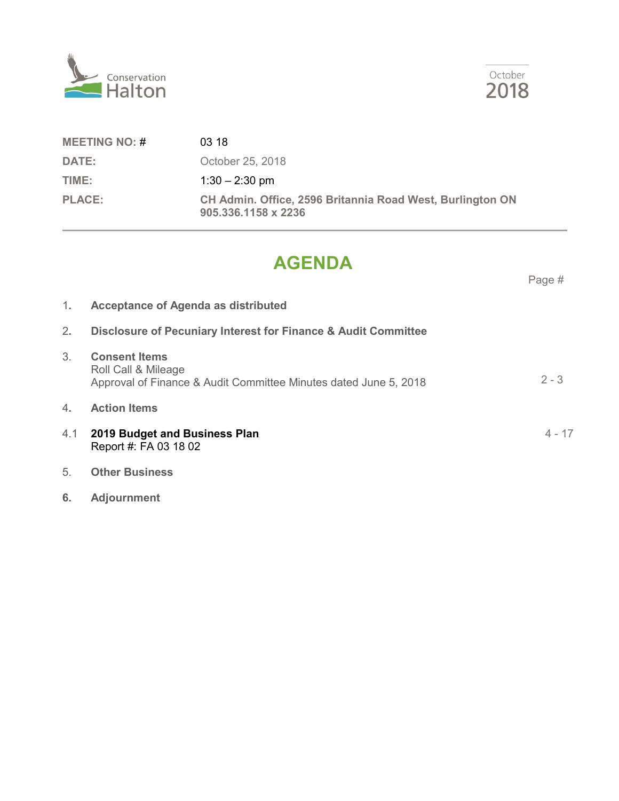



# **AGENDA**

Page #

October

2018

- 1**. Acceptance of Agenda as distributed** 2**. Disclosure of Pecuniary Interest for Finance & Audit Committee** 3. **Consent Items** Roll Call & Mileage Approval of Finance & Audit Committee Minutes dated June 5, 2018 4**. Action Items** 4.1 **2019 Budget and Business Plan** Report #: FA 03 18 02 5. **Other Business**  $2 - 3$ 4 - 17
- **6. Adjournment**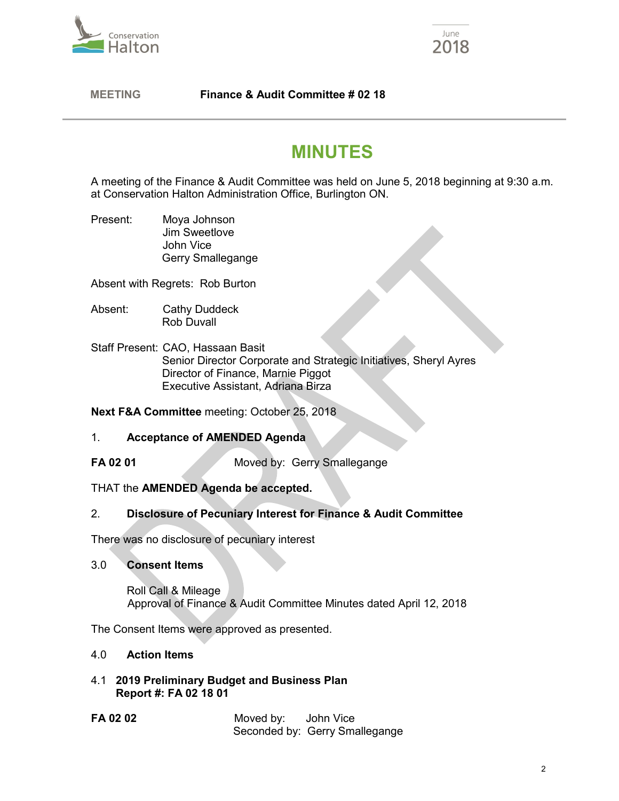



 **MEETING Finance & Audit Committee # 02 18**

# **MINUTES**

A meeting of the Finance & Audit Committee was held on June 5, 2018 beginning at 9:30 a.m. at Conservation Halton Administration Office, Burlington ON.

Present: Moya Johnson Jim Sweetlove John Vice Gerry Smallegange

Absent with Regrets: Rob Burton

- Absent: Cathy Duddeck Rob Duvall
- Staff Present: CAO, Hassaan Basit Senior Director Corporate and Strategic Initiatives, Sheryl Ayres Director of Finance, Marnie Piggot Executive Assistant, Adriana Birza

**Next F&A Committee** meeting: October 25, 2018

## 1. **Acceptance of AMENDED Agenda**

**FA 02 01** Moved by: Gerry Smallegange

# THAT the **AMENDED Agenda be accepted.**

# 2. **Disclosure of Pecuniary Interest for Finance & Audit Committee**

There was no disclosure of pecuniary interest

#### 3.0 **Consent Items**

Roll Call & Mileage Approval of Finance & Audit Committee Minutes dated April 12, 2018

The Consent Items were approved as presented.

## 4.0 **Action Items**

- 4.1 **2019 Preliminary Budget and Business Plan Report #: FA 02 18 01**
- **FA 02 02** Moved by: John Vice Seconded by: Gerry Smallegange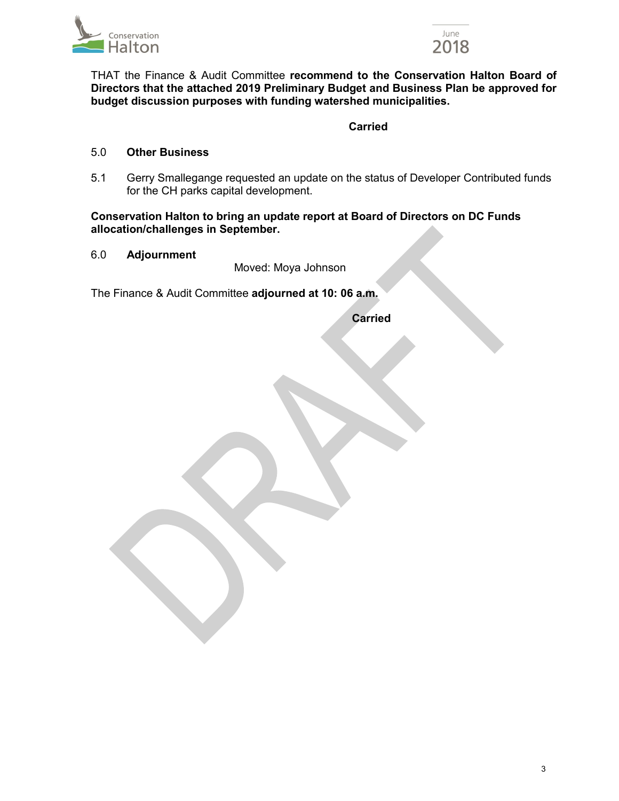



 THAT the Finance & Audit Committee **recommend to the Conservation Halton Board of Directors that the attached 2019 Preliminary Budget and Business Plan be approved for budget discussion purposes with funding watershed municipalities.**

# **Carried Carried**

#### 5.0 **Other Business**

5.1 Gerry Smallegange requested an update on the status of Developer Contributed funds for the CH parks capital development.

#### **Conservation Halton to bring an update report at Board of Directors on DC Funds allocation/challenges in September.**

### 6.0 **Adjournment**

Moved: Moya Johnson

The Finance & Audit Committee **adjourned at 10: 06 a.m.**

**Carried**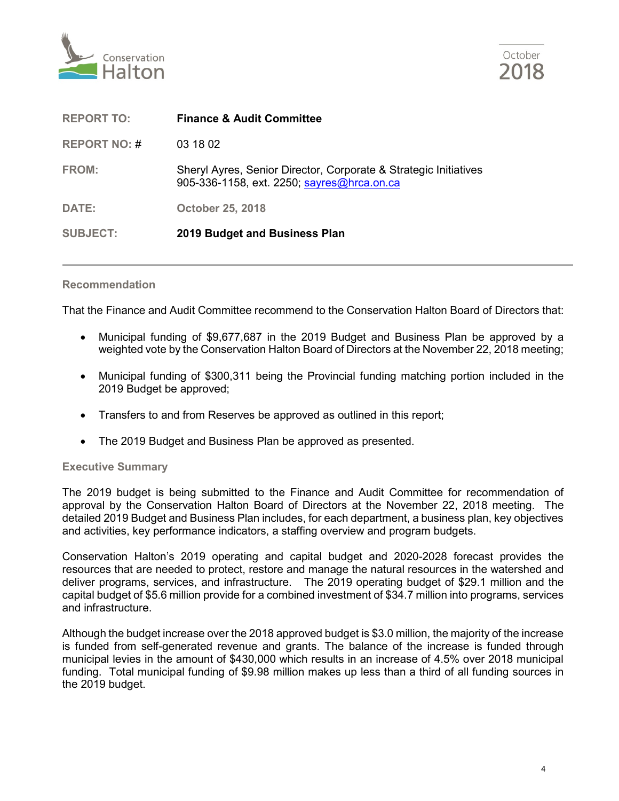



| <b>REPORT TO:</b>   | <b>Finance &amp; Audit Committee</b>                                                                           |
|---------------------|----------------------------------------------------------------------------------------------------------------|
| <b>REPORT NO: #</b> | 03 18 02                                                                                                       |
| <b>FROM:</b>        | Sheryl Ayres, Senior Director, Corporate & Strategic Initiatives<br>905-336-1158, ext. 2250; sayres@hrca.on.ca |
| DATE:               | <b>October 25, 2018</b>                                                                                        |
| <b>SUBJECT:</b>     | 2019 Budget and Business Plan                                                                                  |

#### **Recommendation**

That the Finance and Audit Committee recommend to the Conservation Halton Board of Directors that:

- Municipal funding of \$9,677,687 in the 2019 Budget and Business Plan be approved by a weighted vote by the Conservation Halton Board of Directors at the November 22, 2018 meeting;
- Municipal funding of \$300,311 being the Provincial funding matching portion included in the 2019 Budget be approved;
- Transfers to and from Reserves be approved as outlined in this report;
- The 2019 Budget and Business Plan be approved as presented.

#### **Executive Summary**

The 2019 budget is being submitted to the Finance and Audit Committee for recommendation of approval by the Conservation Halton Board of Directors at the November 22, 2018 meeting. The detailed 2019 Budget and Business Plan includes, for each department, a business plan, key objectives and activities, key performance indicators, a staffing overview and program budgets.

Conservation Halton's 2019 operating and capital budget and 2020-2028 forecast provides the resources that are needed to protect, restore and manage the natural resources in the watershed and deliver programs, services, and infrastructure. The 2019 operating budget of \$29.1 million and the capital budget of \$5.6 million provide for a combined investment of \$34.7 million into programs, services and infrastructure.

Although the budget increase over the 2018 approved budget is \$3.0 million, the majority of the increase is funded from self-generated revenue and grants. The balance of the increase is funded through municipal levies in the amount of \$430,000 which results in an increase of 4.5% over 2018 municipal funding. Total municipal funding of \$9.98 million makes up less than a third of all funding sources in the 2019 budget.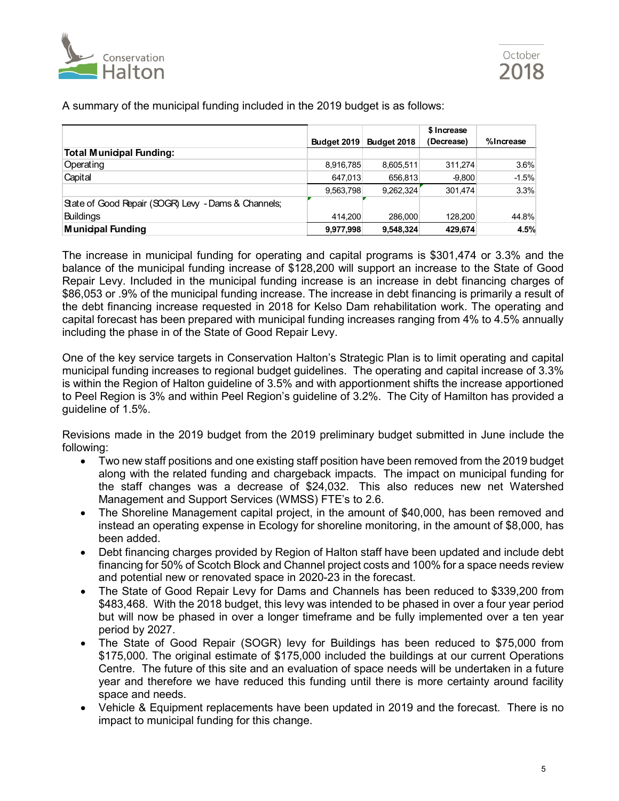

|                                                     |                    |             | \$ Increase |           |
|-----------------------------------------------------|--------------------|-------------|-------------|-----------|
|                                                     | <b>Budget 2019</b> | Budget 2018 | (Decrease)  | %Increase |
| <b>Total Municipal Funding:</b>                     |                    |             |             |           |
| Operating                                           | 8,916,785          | 8,605,511   | 311.274     | $3.6\%$   |
| Capital                                             | 647.013            | 656.813     | $-9.800$    | $-1.5%$   |
|                                                     | 9,563,798          | 9.262.324   | 301.474     | 3.3%      |
| State of Good Repair (SOGR) Levy - Dams & Channels; |                    |             |             |           |
| <b>Buildings</b>                                    | 414.200            | 286,000     | 128.200     | 44.8%     |
| <b>Municipal Funding</b>                            | 9,977,998          | 9,548,324   | 429.674     | 4.5%      |

A summary of the municipal funding included in the 2019 budget is as follows:

The increase in municipal funding for operating and capital programs is \$301,474 or 3.3% and the balance of the municipal funding increase of \$128,200 will support an increase to the State of Good Repair Levy. Included in the municipal funding increase is an increase in debt financing charges of \$86,053 or .9% of the municipal funding increase. The increase in debt financing is primarily a result of the debt financing increase requested in 2018 for Kelso Dam rehabilitation work. The operating and capital forecast has been prepared with municipal funding increases ranging from 4% to 4.5% annually including the phase in of the State of Good Repair Levy.

One of the key service targets in Conservation Halton's Strategic Plan is to limit operating and capital municipal funding increases to regional budget guidelines. The operating and capital increase of 3.3% is within the Region of Halton guideline of 3.5% and with apportionment shifts the increase apportioned to Peel Region is 3% and within Peel Region's guideline of 3.2%. The City of Hamilton has provided a guideline of 1.5%.

Revisions made in the 2019 budget from the 2019 preliminary budget submitted in June include the following:

- Two new staff positions and one existing staff position have been removed from the 2019 budget along with the related funding and chargeback impacts. The impact on municipal funding for the staff changes was a decrease of \$24,032. This also reduces new net Watershed Management and Support Services (WMSS) FTE's to 2.6.
- The Shoreline Management capital project, in the amount of \$40,000, has been removed and instead an operating expense in Ecology for shoreline monitoring, in the amount of \$8,000, has been added.
- Debt financing charges provided by Region of Halton staff have been updated and include debt financing for 50% of Scotch Block and Channel project costs and 100% for a space needs review and potential new or renovated space in 2020-23 in the forecast.
- The State of Good Repair Levy for Dams and Channels has been reduced to \$339,200 from \$483,468. With the 2018 budget, this levy was intended to be phased in over a four year period but will now be phased in over a longer timeframe and be fully implemented over a ten year period by 2027.
- The State of Good Repair (SOGR) levy for Buildings has been reduced to \$75,000 from \$175,000. The original estimate of \$175,000 included the buildings at our current Operations Centre. The future of this site and an evaluation of space needs will be undertaken in a future year and therefore we have reduced this funding until there is more certainty around facility space and needs.
- Vehicle & Equipment replacements have been updated in 2019 and the forecast. There is no impact to municipal funding for this change.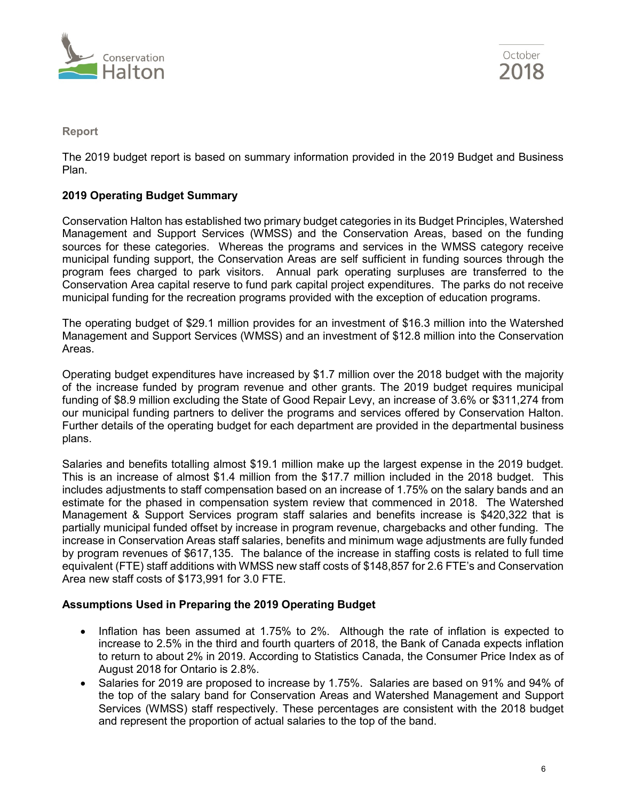



## **Report**

The 2019 budget report is based on summary information provided in the 2019 Budget and Business Plan.

## **2019 Operating Budget Summary**

Conservation Halton has established two primary budget categories in its Budget Principles, Watershed Management and Support Services (WMSS) and the Conservation Areas, based on the funding sources for these categories. Whereas the programs and services in the WMSS category receive municipal funding support, the Conservation Areas are self sufficient in funding sources through the program fees charged to park visitors. Annual park operating surpluses are transferred to the Conservation Area capital reserve to fund park capital project expenditures. The parks do not receive municipal funding for the recreation programs provided with the exception of education programs.

The operating budget of \$29.1 million provides for an investment of \$16.3 million into the Watershed Management and Support Services (WMSS) and an investment of \$12.8 million into the Conservation Areas.

Operating budget expenditures have increased by \$1.7 million over the 2018 budget with the majority of the increase funded by program revenue and other grants. The 2019 budget requires municipal funding of \$8.9 million excluding the State of Good Repair Levy, an increase of 3.6% or \$311,274 from our municipal funding partners to deliver the programs and services offered by Conservation Halton. Further details of the operating budget for each department are provided in the departmental business plans.

Salaries and benefits totalling almost \$19.1 million make up the largest expense in the 2019 budget. This is an increase of almost \$1.4 million from the \$17.7 million included in the 2018 budget. This includes adjustments to staff compensation based on an increase of 1.75% on the salary bands and an estimate for the phased in compensation system review that commenced in 2018. The Watershed Management & Support Services program staff salaries and benefits increase is \$420,322 that is partially municipal funded offset by increase in program revenue, chargebacks and other funding. The increase in Conservation Areas staff salaries, benefits and minimum wage adjustments are fully funded by program revenues of \$617,135. The balance of the increase in staffing costs is related to full time equivalent (FTE) staff additions with WMSS new staff costs of \$148,857 for 2.6 FTE's and Conservation Area new staff costs of \$173,991 for 3.0 FTE.

#### **Assumptions Used in Preparing the 2019 Operating Budget**

- Inflation has been assumed at 1.75% to 2%. Although the rate of inflation is expected to increase to 2.5% in the third and fourth quarters of 2018, the Bank of Canada expects inflation to return to about 2% in 2019. According to Statistics Canada, the Consumer Price Index as of August 2018 for Ontario is 2.8%.
- Salaries for 2019 are proposed to increase by 1.75%. Salaries are based on 91% and 94% of the top of the salary band for Conservation Areas and Watershed Management and Support Services (WMSS) staff respectively. These percentages are consistent with the 2018 budget and represent the proportion of actual salaries to the top of the band.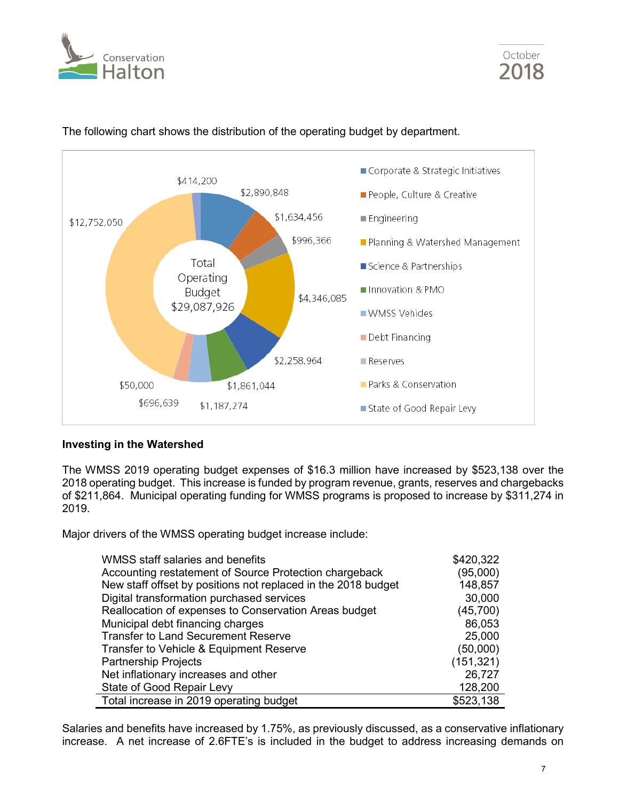





# The following chart shows the distribution of the operating budget by department.

## **Investing in the Watershed**

The WMSS 2019 operating budget expenses of \$16.3 million have increased by \$523,138 over the 2018 operating budget. This increase is funded by program revenue, grants, reserves and chargebacks of \$211,864. Municipal operating funding for WMSS programs is proposed to increase by \$311,274 in 2019.

Major drivers of the WMSS operating budget increase include:

| WMSS staff salaries and benefits                              | \$420,322  |
|---------------------------------------------------------------|------------|
| Accounting restatement of Source Protection chargeback        | (95,000)   |
| New staff offset by positions not replaced in the 2018 budget | 148,857    |
| Digital transformation purchased services                     | 30,000     |
| Reallocation of expenses to Conservation Areas budget         | (45, 700)  |
| Municipal debt financing charges                              | 86,053     |
| <b>Transfer to Land Securement Reserve</b>                    | 25,000     |
| Transfer to Vehicle & Equipment Reserve                       | (50,000)   |
| <b>Partnership Projects</b>                                   | (151, 321) |
| Net inflationary increases and other                          | 26,727     |
| State of Good Repair Levy                                     | 128,200    |
| Total increase in 2019 operating budget                       | \$523,138  |

Salaries and benefits have increased by 1.75%, as previously discussed, as a conservative inflationary increase. A net increase of 2.6FTE's is included in the budget to address increasing demands on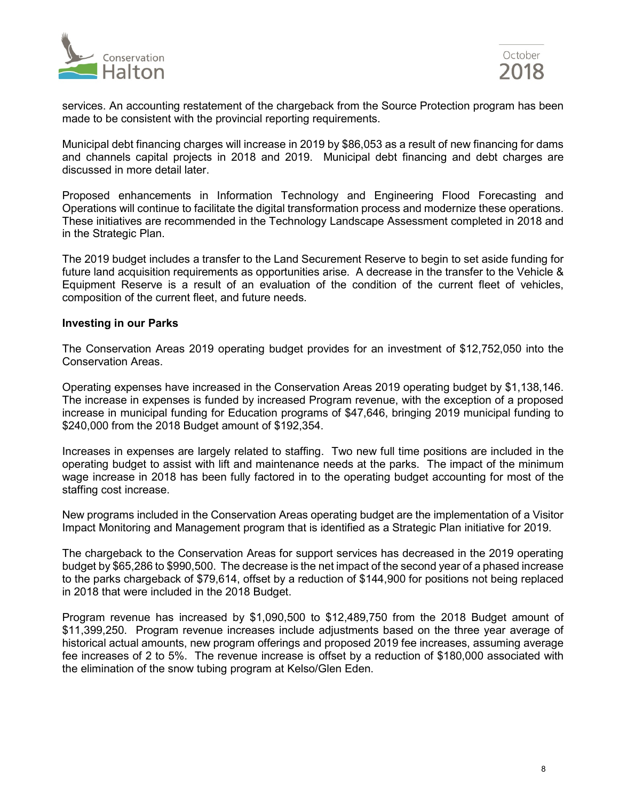



services. An accounting restatement of the chargeback from the Source Protection program has been made to be consistent with the provincial reporting requirements.

Municipal debt financing charges will increase in 2019 by \$86,053 as a result of new financing for dams and channels capital projects in 2018 and 2019. Municipal debt financing and debt charges are discussed in more detail later.

Proposed enhancements in Information Technology and Engineering Flood Forecasting and Operations will continue to facilitate the digital transformation process and modernize these operations. These initiatives are recommended in the Technology Landscape Assessment completed in 2018 and in the Strategic Plan.

The 2019 budget includes a transfer to the Land Securement Reserve to begin to set aside funding for future land acquisition requirements as opportunities arise. A decrease in the transfer to the Vehicle & Equipment Reserve is a result of an evaluation of the condition of the current fleet of vehicles, composition of the current fleet, and future needs.

#### **Investing in our Parks**

The Conservation Areas 2019 operating budget provides for an investment of \$12,752,050 into the Conservation Areas.

Operating expenses have increased in the Conservation Areas 2019 operating budget by \$1,138,146. The increase in expenses is funded by increased Program revenue, with the exception of a proposed increase in municipal funding for Education programs of \$47,646, bringing 2019 municipal funding to \$240,000 from the 2018 Budget amount of \$192,354.

Increases in expenses are largely related to staffing. Two new full time positions are included in the operating budget to assist with lift and maintenance needs at the parks. The impact of the minimum wage increase in 2018 has been fully factored in to the operating budget accounting for most of the staffing cost increase.

New programs included in the Conservation Areas operating budget are the implementation of a Visitor Impact Monitoring and Management program that is identified as a Strategic Plan initiative for 2019.

The chargeback to the Conservation Areas for support services has decreased in the 2019 operating budget by \$65,286 to \$990,500. The decrease is the net impact of the second year of a phased increase to the parks chargeback of \$79,614, offset by a reduction of \$144,900 for positions not being replaced in 2018 that were included in the 2018 Budget.

Program revenue has increased by \$1,090,500 to \$12,489,750 from the 2018 Budget amount of \$11,399,250. Program revenue increases include adjustments based on the three year average of historical actual amounts, new program offerings and proposed 2019 fee increases, assuming average fee increases of 2 to 5%. The revenue increase is offset by a reduction of \$180,000 associated with the elimination of the snow tubing program at Kelso/Glen Eden.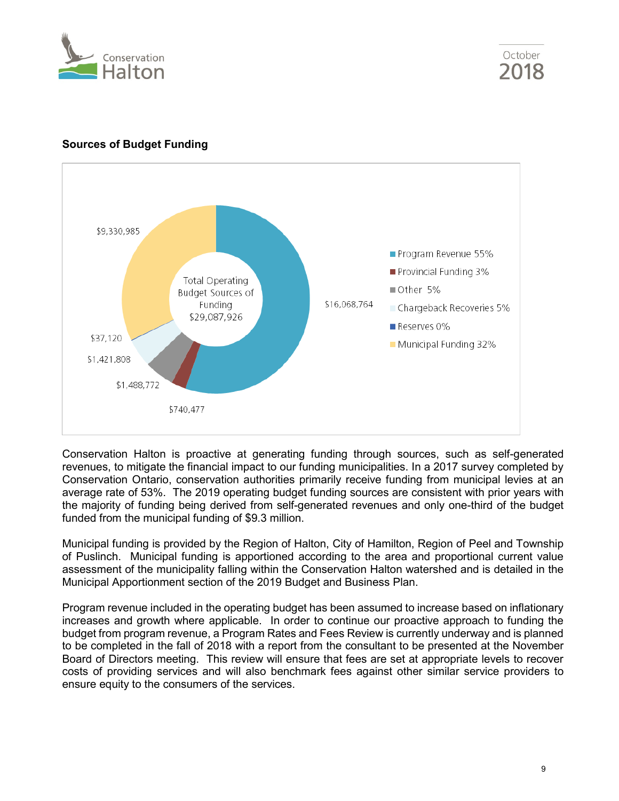



# **Sources of Budget Funding**



Conservation Halton is proactive at generating funding through sources, such as self-generated revenues, to mitigate the financial impact to our funding municipalities. In a 2017 survey completed by Conservation Ontario, conservation authorities primarily receive funding from municipal levies at an average rate of 53%. The 2019 operating budget funding sources are consistent with prior years with the majority of funding being derived from self-generated revenues and only one-third of the budget funded from the municipal funding of \$9.3 million.

Municipal funding is provided by the Region of Halton, City of Hamilton, Region of Peel and Township of Puslinch. Municipal funding is apportioned according to the area and proportional current value assessment of the municipality falling within the Conservation Halton watershed and is detailed in the Municipal Apportionment section of the 2019 Budget and Business Plan.

Program revenue included in the operating budget has been assumed to increase based on inflationary increases and growth where applicable. In order to continue our proactive approach to funding the budget from program revenue, a Program Rates and Fees Review is currently underway and is planned to be completed in the fall of 2018 with a report from the consultant to be presented at the November Board of Directors meeting. This review will ensure that fees are set at appropriate levels to recover costs of providing services and will also benchmark fees against other similar service providers to ensure equity to the consumers of the services.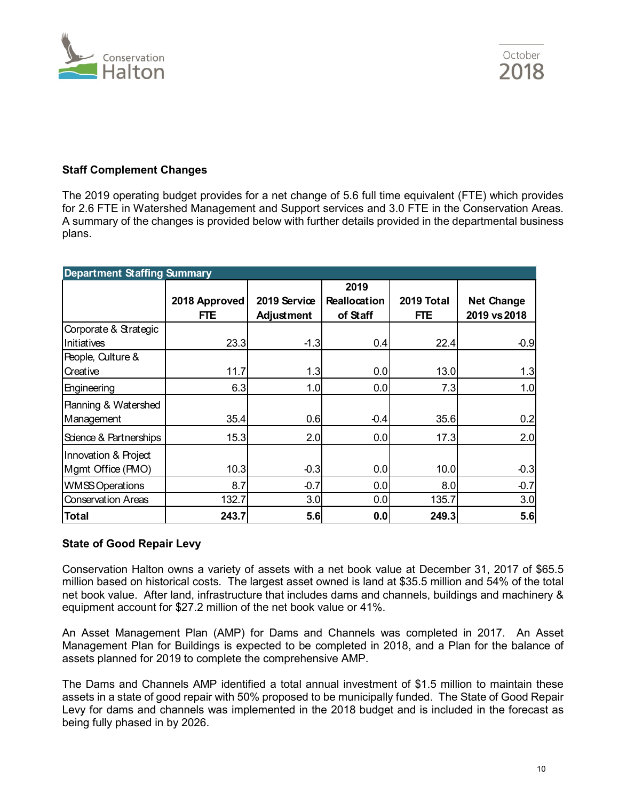

# **Staff Complement Changes**

The 2019 operating budget provides for a net change of 5.6 full time equivalent (FTE) which provides for 2.6 FTE in Watershed Management and Support services and 3.0 FTE in the Conservation Areas. A summary of the changes is provided below with further details provided in the departmental business plans.

| <b>Department Staffing Summary</b> |               |                   |              |            |                   |  |  |
|------------------------------------|---------------|-------------------|--------------|------------|-------------------|--|--|
|                                    |               |                   | 2019         |            |                   |  |  |
|                                    | 2018 Approved | 2019 Service      | Reallocation | 2019 Total | <b>Net Change</b> |  |  |
|                                    | <b>FTE</b>    | <b>Adjustment</b> | of Staff     | FTE.       | 2019 vs 2018      |  |  |
| Corporate & Strategic              |               |                   |              |            |                   |  |  |
| <b>Initiatives</b>                 | 23.3          | $-1.3$            | 0.4          | 22.4       | $-0.9$            |  |  |
| People, Culture &                  |               |                   |              |            |                   |  |  |
| Creative                           | 11.7          | 1.3               | 0.0          | 13.0       | 1.3               |  |  |
| Engineering                        | 6.3           | 1.0               | 0.0          | 7.3        | 1.0               |  |  |
| <b>Ranning &amp; Watershed</b>     |               |                   |              |            |                   |  |  |
| Management                         | 35.4          | 0.6               | $-0.4$       | 35.6       | 0.2               |  |  |
| Science & Partnerships             | 15.3          | 2.0               | 0.0          | 17.3       | 2.0               |  |  |
| Innovation & Project               |               |                   |              |            |                   |  |  |
| Mgmt Office (PMO)                  | 10.3          | $-0.3$            | 0.0          | 10.0       | $-0.3$            |  |  |
| <b>WMSS Operations</b>             | 8.7           | $-0.7$            | 0.0          | 8.0        | $-0.7$            |  |  |
| <b>Conservation Areas</b>          | 132.7         | 3.0               | 0.0          | 135.7      | 3.0               |  |  |
| <b>Total</b>                       | 243.7         | 5.6               | 0.0          | 249.3      | 5.6               |  |  |

#### **State of Good Repair Levy**

Conservation Halton owns a variety of assets with a net book value at December 31, 2017 of \$65.5 million based on historical costs. The largest asset owned is land at \$35.5 million and 54% of the total net book value. After land, infrastructure that includes dams and channels, buildings and machinery & equipment account for \$27.2 million of the net book value or 41%.

An Asset Management Plan (AMP) for Dams and Channels was completed in 2017. An Asset Management Plan for Buildings is expected to be completed in 2018, and a Plan for the balance of assets planned for 2019 to complete the comprehensive AMP.

The Dams and Channels AMP identified a total annual investment of \$1.5 million to maintain these assets in a state of good repair with 50% proposed to be municipally funded. The State of Good Repair Levy for dams and channels was implemented in the 2018 budget and is included in the forecast as being fully phased in by 2026.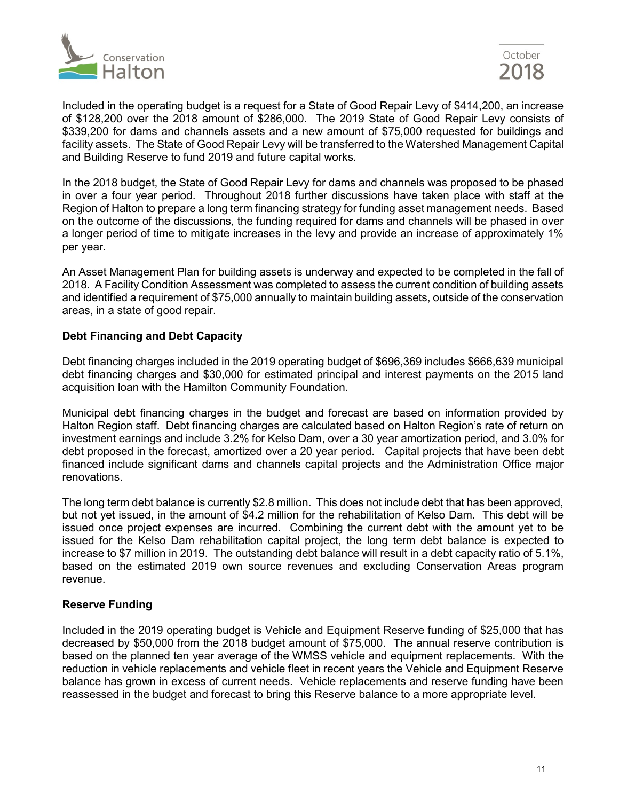



Included in the operating budget is a request for a State of Good Repair Levy of \$414,200, an increase of \$128,200 over the 2018 amount of \$286,000. The 2019 State of Good Repair Levy consists of \$339,200 for dams and channels assets and a new amount of \$75,000 requested for buildings and facility assets. The State of Good Repair Levy will be transferred to the Watershed Management Capital and Building Reserve to fund 2019 and future capital works.

In the 2018 budget, the State of Good Repair Levy for dams and channels was proposed to be phased in over a four year period. Throughout 2018 further discussions have taken place with staff at the Region of Halton to prepare a long term financing strategy for funding asset management needs. Based on the outcome of the discussions, the funding required for dams and channels will be phased in over a longer period of time to mitigate increases in the levy and provide an increase of approximately 1% per year.

An Asset Management Plan for building assets is underway and expected to be completed in the fall of 2018. A Facility Condition Assessment was completed to assess the current condition of building assets and identified a requirement of \$75,000 annually to maintain building assets, outside of the conservation areas, in a state of good repair.

### **Debt Financing and Debt Capacity**

Debt financing charges included in the 2019 operating budget of \$696,369 includes \$666,639 municipal debt financing charges and \$30,000 for estimated principal and interest payments on the 2015 land acquisition loan with the Hamilton Community Foundation.

Municipal debt financing charges in the budget and forecast are based on information provided by Halton Region staff. Debt financing charges are calculated based on Halton Region's rate of return on investment earnings and include 3.2% for Kelso Dam, over a 30 year amortization period, and 3.0% for debt proposed in the forecast, amortized over a 20 year period. Capital projects that have been debt financed include significant dams and channels capital projects and the Administration Office major renovations.

The long term debt balance is currently \$2.8 million. This does not include debt that has been approved, but not yet issued, in the amount of \$4.2 million for the rehabilitation of Kelso Dam. This debt will be issued once project expenses are incurred. Combining the current debt with the amount yet to be issued for the Kelso Dam rehabilitation capital project, the long term debt balance is expected to increase to \$7 million in 2019. The outstanding debt balance will result in a debt capacity ratio of 5.1%, based on the estimated 2019 own source revenues and excluding Conservation Areas program revenue.

#### **Reserve Funding**

Included in the 2019 operating budget is Vehicle and Equipment Reserve funding of \$25,000 that has decreased by \$50,000 from the 2018 budget amount of \$75,000. The annual reserve contribution is based on the planned ten year average of the WMSS vehicle and equipment replacements. With the reduction in vehicle replacements and vehicle fleet in recent years the Vehicle and Equipment Reserve balance has grown in excess of current needs. Vehicle replacements and reserve funding have been reassessed in the budget and forecast to bring this Reserve balance to a more appropriate level.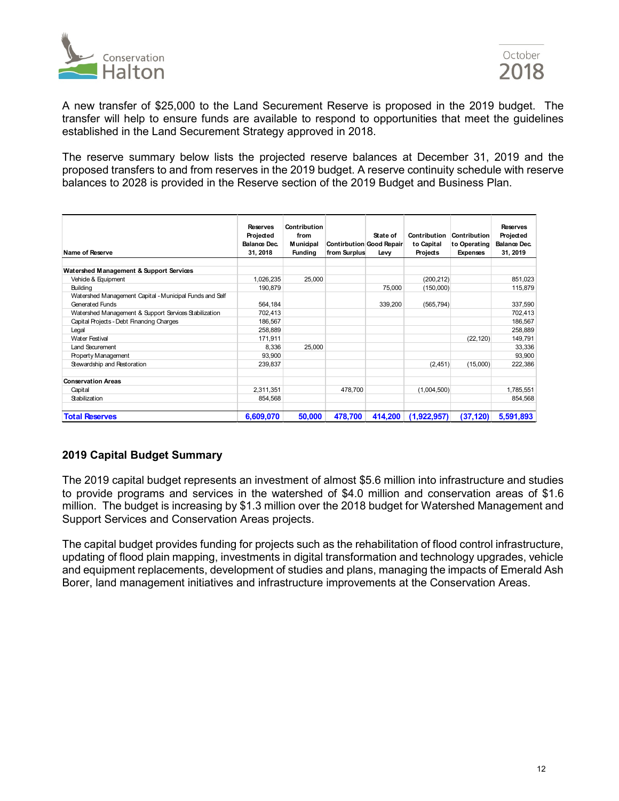



A new transfer of \$25,000 to the Land Securement Reserve is proposed in the 2019 budget. The transfer will help to ensure funds are available to respond to opportunities that meet the guidelines established in the Land Securement Strategy approved in 2018.

The reserve summary below lists the projected reserve balances at December 31, 2019 and the proposed transfers to and from reserves in the 2019 budget. A reserve continuity schedule with reserve balances to 2028 is provided in the Reserve section of the 2019 Budget and Business Plan.

| Name of Reserve                                         | <b>Reserves</b><br>Projected<br>Balance Dec.<br>31, 2018 | Contribution<br>from<br><b>Municipal</b><br><b>Fundina</b> | from Surplus | State of<br>Contirbution Good Repair<br>Levv | Contribution<br>to Capital<br>Projects | Contribution<br>to Operating<br><b>Expenses</b> | <b>Reserves</b><br>Projected<br>Balance Dec.<br>31, 2019 |
|---------------------------------------------------------|----------------------------------------------------------|------------------------------------------------------------|--------------|----------------------------------------------|----------------------------------------|-------------------------------------------------|----------------------------------------------------------|
| Watershed Management & Support Services                 |                                                          |                                                            |              |                                              |                                        |                                                 |                                                          |
| Vehide & Equipment                                      | 1,026,235                                                | 25.000                                                     |              |                                              | (200, 212)                             |                                                 | 851,023                                                  |
| Building                                                | 190,879                                                  |                                                            |              | 75,000                                       | (150,000)                              |                                                 | 115,879                                                  |
| Watershed Management Capital - Municipal Funds and Self |                                                          |                                                            |              |                                              |                                        |                                                 |                                                          |
| Generated Funds                                         | 564,184                                                  |                                                            |              | 339,200                                      | (565, 794)                             |                                                 | 337,590                                                  |
| Watershed Management & Support Services Stabilization   | 702,413                                                  |                                                            |              |                                              |                                        |                                                 | 702,413                                                  |
| Capital Projects - Debt Financing Charges               | 186,567                                                  |                                                            |              |                                              |                                        |                                                 | 186,567                                                  |
| Legal                                                   | 258,889                                                  |                                                            |              |                                              |                                        |                                                 | 258,889                                                  |
| <b>Water Festival</b>                                   | 171,911                                                  |                                                            |              |                                              |                                        | (22, 120)                                       | 149,791                                                  |
| Land Securement                                         | 8,336                                                    | 25.000                                                     |              |                                              |                                        |                                                 | 33,336                                                   |
| <b>Property Management</b>                              | 93,900                                                   |                                                            |              |                                              |                                        |                                                 | 93,900                                                   |
| Stewardship and Restoration                             | 239,837                                                  |                                                            |              |                                              | (2,451)                                | (15,000)                                        | 222,386                                                  |
| <b>Conservation Areas</b>                               |                                                          |                                                            |              |                                              |                                        |                                                 |                                                          |
| Capital                                                 | 2,311,351                                                |                                                            | 478,700      |                                              | (1,004,500)                            |                                                 | 1,785,551                                                |
| Stabilization                                           | 854,568                                                  |                                                            |              |                                              |                                        |                                                 | 854,568                                                  |
| <b>Total Reserves</b>                                   | 6,609,070                                                | 50,000                                                     | 478.700      | 414.200                                      | (1,922,957)                            | (37, 120)                                       | 5,591,893                                                |

## **2019 Capital Budget Summary**

The 2019 capital budget represents an investment of almost \$5.6 million into infrastructure and studies to provide programs and services in the watershed of \$4.0 million and conservation areas of \$1.6 million. The budget is increasing by \$1.3 million over the 2018 budget for Watershed Management and Support Services and Conservation Areas projects.

The capital budget provides funding for projects such as the rehabilitation of flood control infrastructure, updating of flood plain mapping, investments in digital transformation and technology upgrades, vehicle and equipment replacements, development of studies and plans, managing the impacts of Emerald Ash Borer, land management initiatives and infrastructure improvements at the Conservation Areas.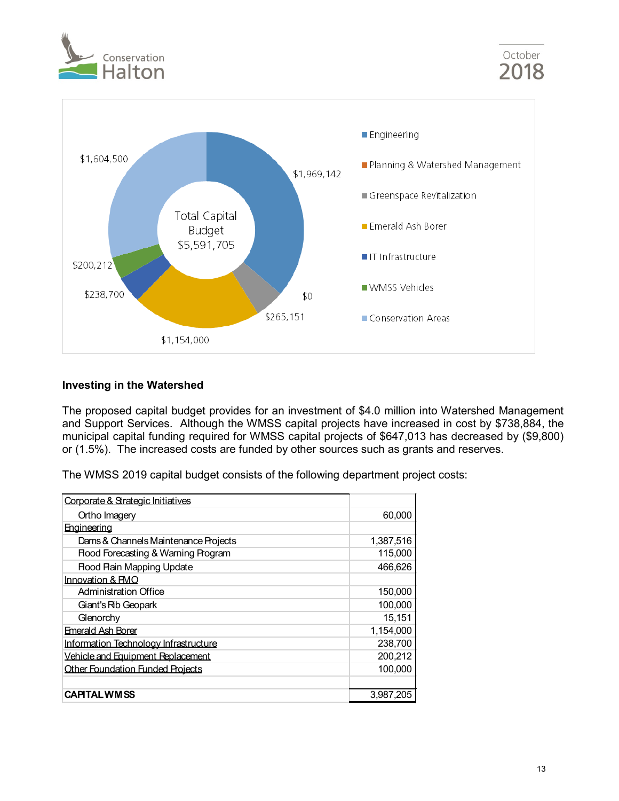



## **Investing in the Watershed**

The proposed capital budget provides for an investment of \$4.0 million into Watershed Management and Support Services. Although the WMSS capital projects have increased in cost by \$738,884, the municipal capital funding required for WMSS capital projects of \$647,013 has decreased by (\$9,800) or (1.5%). The increased costs are funded by other sources such as grants and reserves.

The WMSS 2019 capital budget consists of the following department project costs:

| Corporate & Strategic Initiatives              |           |
|------------------------------------------------|-----------|
| Ortho Imagery                                  | 60,000    |
| Engineering                                    |           |
| Dams & Channels Maintenance Projects           | 1,387,516 |
| <b>Flood Forecasting &amp; Warning Program</b> | 115,000   |
| <b>Rood Rain Mapping Update</b>                | 466,626   |
| Innovation & PMO                               |           |
| <b>Administration Office</b>                   | 150,000   |
| Giant's Rib Geopark                            | 100,000   |
| Glenorchy                                      | 15,151    |
| <b>Emerald Ash Borer</b>                       | 1,154,000 |
| Information Technology Infrastructure          | 238,700   |
| Vehicle and Equipment Replacement              | 200,212   |
| <b>Other Foundation Funded Projects</b>        | 100.000   |
|                                                |           |
| <b>CAPITAL WMSS</b>                            | 3,987,205 |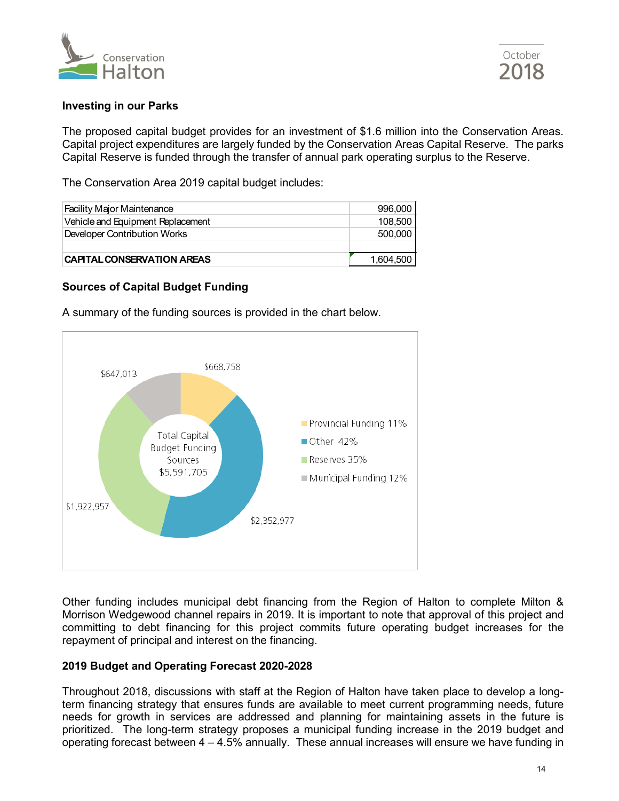



## **Investing in our Parks**

The proposed capital budget provides for an investment of \$1.6 million into the Conservation Areas. Capital project expenditures are largely funded by the Conservation Areas Capital Reserve. The parks Capital Reserve is funded through the transfer of annual park operating surplus to the Reserve.

The Conservation Area 2019 capital budget includes:

| <b>Facility Major Maintenance</b> | 996.000   |
|-----------------------------------|-----------|
| Vehicle and Equipment Replacement | 108.500   |
| Developer Contribution Works      | 500,000   |
|                                   |           |
| <b>CAPITAL CONSERVATION AREAS</b> | 1,604,500 |

## **Sources of Capital Budget Funding**

A summary of the funding sources is provided in the chart below.



Other funding includes municipal debt financing from the Region of Halton to complete Milton & Morrison Wedgewood channel repairs in 2019. It is important to note that approval of this project and committing to debt financing for this project commits future operating budget increases for the repayment of principal and interest on the financing.

## **2019 Budget and Operating Forecast 2020-2028**

Throughout 2018, discussions with staff at the Region of Halton have taken place to develop a longterm financing strategy that ensures funds are available to meet current programming needs, future needs for growth in services are addressed and planning for maintaining assets in the future is prioritized. The long-term strategy proposes a municipal funding increase in the 2019 budget and operating forecast between 4 – 4.5% annually. These annual increases will ensure we have funding in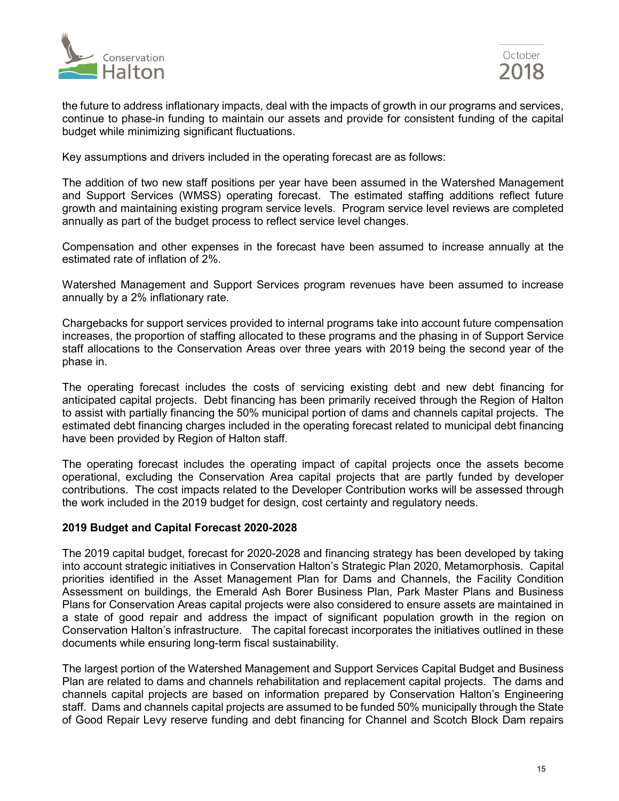



the future to address inflationary impacts, deal with the impacts of growth in our programs and services, continue to phase-in funding to maintain our assets and provide for consistent funding of the capital budget while minimizing significant fluctuations.

Key assumptions and drivers included in the operating forecast are as follows:

The addition of two new staff positions per year have been assumed in the Watershed Management and Support Services (WMSS) operating forecast. The estimated staffing additions reflect future growth and maintaining existing program service levels. Program service level reviews are completed annually as part of the budget process to reflect service level changes.

Compensation and other expenses in the forecast have been assumed to increase annually at the estimated rate of inflation of 2%.

Watershed Management and Support Services program revenues have been assumed to increase annually by a 2% inflationary rate.

Chargebacks for support services provided to internal programs take into account future compensation increases, the proportion of staffing allocated to these programs and the phasing in of Support Service staff allocations to the Conservation Areas over three years with 2019 being the second year of the phase in.

The operating forecast includes the costs of servicing existing debt and new debt financing for anticipated capital projects. Debt financing has been primarily received through the Region of Halton to assist with partially financing the 50% municipal portion of dams and channels capital projects. The estimated debt financing charges included in the operating forecast related to municipal debt financing have been provided by Region of Halton staff.

The operating forecast includes the operating impact of capital projects once the assets become operational, excluding the Conservation Area capital projects that are partly funded by developer contributions. The cost impacts related to the Developer Contribution works will be assessed through the work included in the 2019 budget for design, cost certainty and regulatory needs.

#### **2019 Budget and Capital Forecast 2020-2028**

The 2019 capital budget, forecast for 2020-2028 and financing strategy has been developed by taking into account strategic initiatives in Conservation Halton's Strategic Plan 2020, Metamorphosis. Capital priorities identified in the Asset Management Plan for Dams and Channels, the Facility Condition Assessment on buildings, the Emerald Ash Borer Business Plan, Park Master Plans and Business Plans for Conservation Areas capital projects were also considered to ensure assets are maintained in a state of good repair and address the impact of significant population growth in the region on Conservation Halton's infrastructure. The capital forecast incorporates the initiatives outlined in these documents while ensuring long-term fiscal sustainability.

The largest portion of the Watershed Management and Support Services Capital Budget and Business Plan are related to dams and channels rehabilitation and replacement capital projects. The dams and channels capital projects are based on information prepared by Conservation Halton's Engineering staff. Dams and channels capital projects are assumed to be funded 50% municipally through the State of Good Repair Levy reserve funding and debt financing for Channel and Scotch Block Dam repairs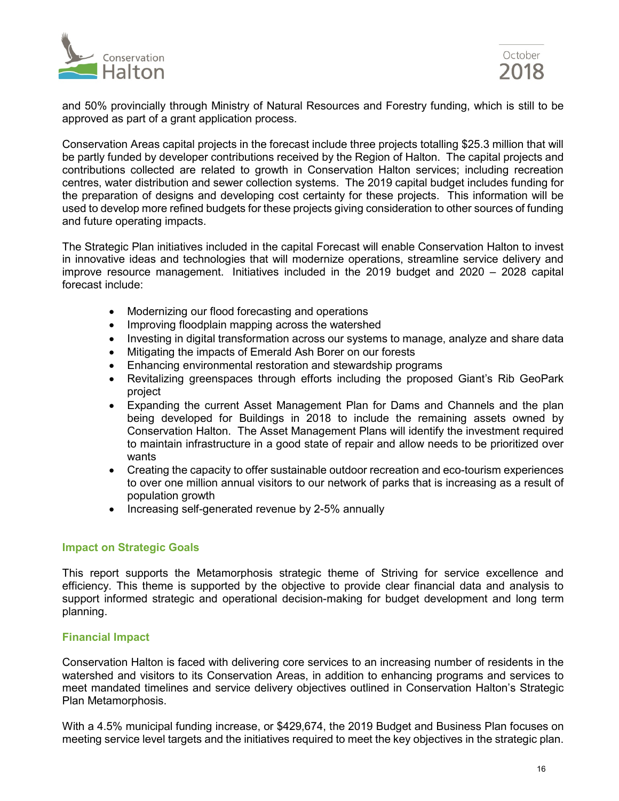



and 50% provincially through Ministry of Natural Resources and Forestry funding, which is still to be approved as part of a grant application process.

Conservation Areas capital projects in the forecast include three projects totalling \$25.3 million that will be partly funded by developer contributions received by the Region of Halton. The capital projects and contributions collected are related to growth in Conservation Halton services; including recreation centres, water distribution and sewer collection systems. The 2019 capital budget includes funding for the preparation of designs and developing cost certainty for these projects. This information will be used to develop more refined budgets for these projects giving consideration to other sources of funding and future operating impacts.

The Strategic Plan initiatives included in the capital Forecast will enable Conservation Halton to invest in innovative ideas and technologies that will modernize operations, streamline service delivery and improve resource management. Initiatives included in the 2019 budget and 2020 – 2028 capital forecast include:

- Modernizing our flood forecasting and operations
- Improving floodplain mapping across the watershed
- Investing in digital transformation across our systems to manage, analyze and share data
- Mitigating the impacts of Emerald Ash Borer on our forests
- Enhancing environmental restoration and stewardship programs
- Revitalizing greenspaces through efforts including the proposed Giant's Rib GeoPark project
- Expanding the current Asset Management Plan for Dams and Channels and the plan being developed for Buildings in 2018 to include the remaining assets owned by Conservation Halton. The Asset Management Plans will identify the investment required to maintain infrastructure in a good state of repair and allow needs to be prioritized over wants
- Creating the capacity to offer sustainable outdoor recreation and eco-tourism experiences to over one million annual visitors to our network of parks that is increasing as a result of population growth
- Increasing self-generated revenue by 2-5% annually

#### **Impact on Strategic Goals**

This report supports the Metamorphosis strategic theme of Striving for service excellence and efficiency. This theme is supported by the objective to provide clear financial data and analysis to support informed strategic and operational decision-making for budget development and long term planning.

## **Financial Impact**

Conservation Halton is faced with delivering core services to an increasing number of residents in the watershed and visitors to its Conservation Areas, in addition to enhancing programs and services to meet mandated timelines and service delivery objectives outlined in Conservation Halton's Strategic Plan Metamorphosis.

With a 4.5% municipal funding increase, or \$429,674, the 2019 Budget and Business Plan focuses on meeting service level targets and the initiatives required to meet the key objectives in the strategic plan.